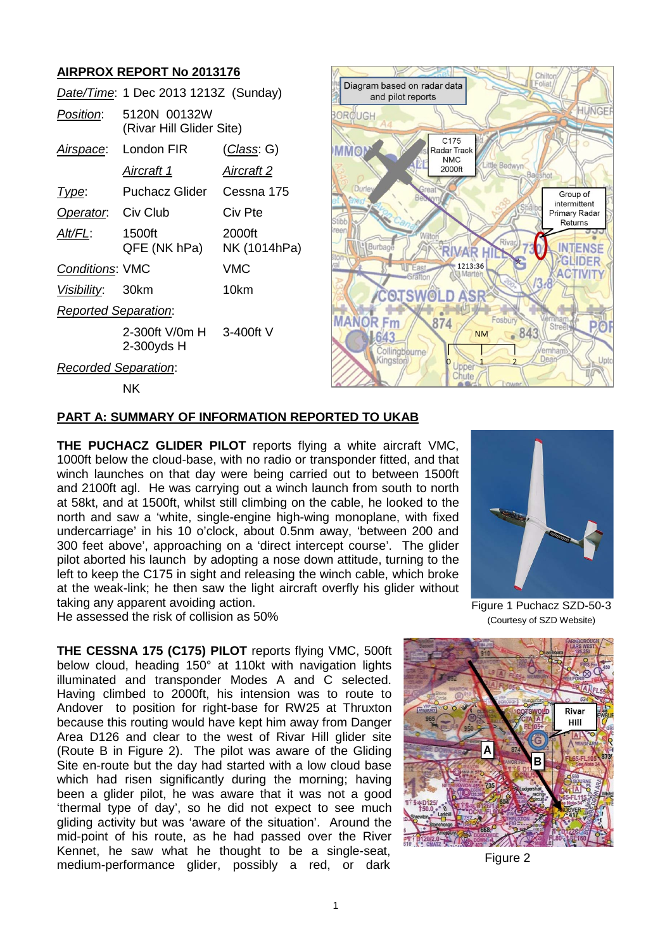# **AIRPROX REPORT No 2013176**

|                             | Date/Time: 1 Dec 2013 1213Z (Sunday)     |                        |
|-----------------------------|------------------------------------------|------------------------|
| Position:                   | 5120N 00132W<br>(Rivar Hill Glider Site) |                        |
| Airspace:                   | London FIR                               | <u>(Class</u> : G)     |
|                             | Aircraft 1                               | Aircraft 2             |
| Type:                       | Puchacz Glider Cessna 175                |                        |
| Operator. Civ Club          |                                          | Civ Pte                |
| Alt/FL:                     | 1500ft<br>QFE (NK hPa)                   | 2000ft<br>NK (1014hPa) |
| <b>Conditions: VMC</b>      |                                          | VMC                    |
| Visibility: 30km            |                                          | 10km                   |
| <b>Reported Separation:</b> |                                          |                        |
|                             | 2-300ft V/0m H 3-400ft V<br>2-300yds H   |                        |
| <b>Recorded Separation:</b> |                                          |                        |



NK

#### **PART A: SUMMARY OF INFORMATION REPORTED TO UKAB**

**THE PUCHACZ GLIDER PILOT** reports flying a white aircraft VMC, 1000ft below the cloud-base, with no radio or transponder fitted, and that winch launches on that day were being carried out to between 1500ft and 2100ft agl. He was carrying out a winch launch from south to north at 58kt, and at 1500ft, whilst still climbing on the cable, he looked to the north and saw a 'white, single-engine high-wing monoplane, with fixed undercarriage' in his 10 o'clock, about 0.5nm away, 'between 200 and 300 feet above', approaching on a 'direct intercept course'. The glider pilot aborted his launch by adopting a nose down attitude, turning to the left to keep the C175 in sight and releasing the winch cable, which broke at the weak-link; he then saw the light aircraft overfly his glider without taking any apparent avoiding action.



He assessed the risk of collision as 50%

**THE CESSNA 175 (C175) PILOT** reports flying VMC, 500ft below cloud, heading 150° at 110kt with navigation lights illuminated and transponder Modes A and C selected. Having climbed to 2000ft, his intension was to route to Andover to position for right-base for RW25 at Thruxton because this routing would have kept him away from Danger Area D126 and clear to the west of Rivar Hill glider site (Route B in Figure 2). The pilot was aware of the Gliding Site en-route but the day had started with a low cloud base which had risen significantly during the morning; having been a glider pilot, he was aware that it was not a good 'thermal type of day', so he did not expect to see much gliding activity but was 'aware of the situation'. Around the mid-point of his route, as he had passed over the River Kennet, he saw what he thought to be a single-seat, medium-performance glider, possibly a red, or dark Figure 2

Figure 1 Puchacz SZD-50-3 (Courtesy of SZD Website)

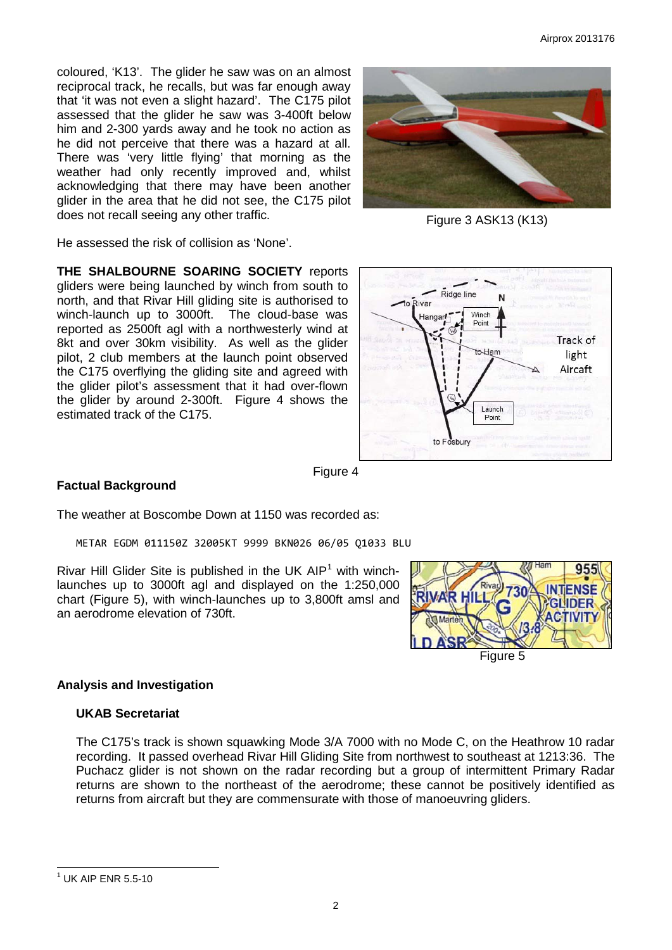coloured, 'K13'. The glider he saw was on an almost reciprocal track, he recalls, but was far enough away that 'it was not even a slight hazard'. The C175 pilot assessed that the glider he saw was 3-400ft below him and 2-300 yards away and he took no action as he did not perceive that there was a hazard at all. There was 'very little flying' that morning as the weather had only recently improved and, whilst acknowledging that there may have been another glider in the area that he did not see, the C175 pilot does not recall seeing any other traffic.

He assessed the risk of collision as 'None'.

**THE SHALBOURNE SOARING SOCIETY** reports gliders were being launched by winch from south to north, and that Rivar Hill gliding site is authorised to winch-launch up to 3000ft. The cloud-base was reported as 2500ft agl with a northwesterly wind at 8kt and over 30km visibility. As well as the glider pilot, 2 club members at the launch point observed the C175 overflying the gliding site and agreed with the glider pilot's assessment that it had over-flown the glider by around 2-300ft. Figure 4 shows the estimated track of the C175.



#### **Factual Background**

Figure 4

The weather at Boscombe Down at 1150 was recorded as:

METAR EGDM 011150Z 32005KT 9999 BKN026 06/05 Q1033 BLU

Rivar Hill Glider Site is published in the UK  $AP<sup>1</sup>$  $AP<sup>1</sup>$  $AP<sup>1</sup>$  with winchlaunches up to 3000ft agl and displayed on the 1:250,000 chart (Figure 5), with winch-launches up to 3,800ft amsl and an aerodrome elevation of 730ft.



#### **Analysis and Investigation**

#### **UKAB Secretariat**

The C175's track is shown squawking Mode 3/A 7000 with no Mode C, on the Heathrow 10 radar recording. It passed overhead Rivar Hill Gliding Site from northwest to southeast at 1213:36. The Puchacz glider is not shown on the radar recording but a group of intermittent Primary Radar returns are shown to the northeast of the aerodrome; these cannot be positively identified as returns from aircraft but they are commensurate with those of manoeuvring gliders.



Figure 3 ASK13 (K13)

<span id="page-1-0"></span> $1$  UK AIP ENR 5.5-10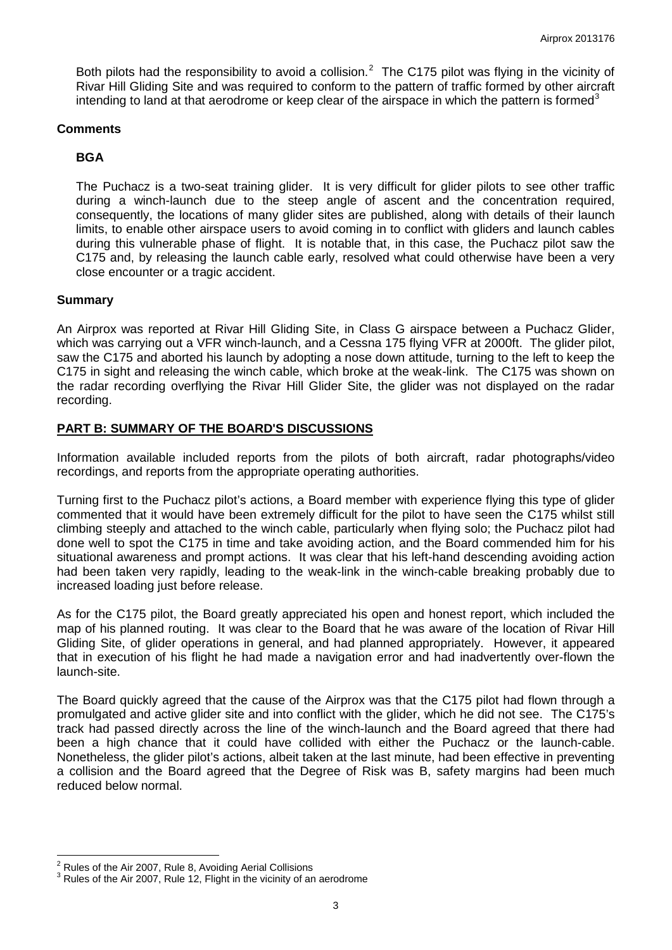Both pilots had the responsibility to avoid a collision.<sup>[2](#page-2-0)</sup> The C175 pilot was flying in the vicinity of Rivar Hill Gliding Site and was required to conform to the pattern of traffic formed by other aircraft intending to land at that aerodrome or keep clear of the airspace in which the pattern is formed<sup>[3](#page-2-1)</sup>

#### **Comments**

## **BGA**

The Puchacz is a two-seat training glider. It is very difficult for glider pilots to see other traffic during a winch-launch due to the steep angle of ascent and the concentration required, consequently, the locations of many glider sites are published, along with details of their launch limits, to enable other airspace users to avoid coming in to conflict with gliders and launch cables during this vulnerable phase of flight. It is notable that, in this case, the Puchacz pilot saw the C175 and, by releasing the launch cable early, resolved what could otherwise have been a very close encounter or a tragic accident.

### **Summary**

An Airprox was reported at Rivar Hill Gliding Site, in Class G airspace between a Puchacz Glider, which was carrying out a VFR winch-launch, and a Cessna 175 flying VFR at 2000ft. The glider pilot, saw the C175 and aborted his launch by adopting a nose down attitude, turning to the left to keep the C175 in sight and releasing the winch cable, which broke at the weak-link. The C175 was shown on the radar recording overflying the Rivar Hill Glider Site, the glider was not displayed on the radar recording.

## **PART B: SUMMARY OF THE BOARD'S DISCUSSIONS**

Information available included reports from the pilots of both aircraft, radar photographs/video recordings, and reports from the appropriate operating authorities.

Turning first to the Puchacz pilot's actions, a Board member with experience flying this type of glider commented that it would have been extremely difficult for the pilot to have seen the C175 whilst still climbing steeply and attached to the winch cable, particularly when flying solo; the Puchacz pilot had done well to spot the C175 in time and take avoiding action, and the Board commended him for his situational awareness and prompt actions. It was clear that his left-hand descending avoiding action had been taken very rapidly, leading to the weak-link in the winch-cable breaking probably due to increased loading just before release.

As for the C175 pilot, the Board greatly appreciated his open and honest report, which included the map of his planned routing. It was clear to the Board that he was aware of the location of Rivar Hill Gliding Site, of glider operations in general, and had planned appropriately. However, it appeared that in execution of his flight he had made a navigation error and had inadvertently over-flown the launch-site.

The Board quickly agreed that the cause of the Airprox was that the C175 pilot had flown through a promulgated and active glider site and into conflict with the glider, which he did not see. The C175's track had passed directly across the line of the winch-launch and the Board agreed that there had been a high chance that it could have collided with either the Puchacz or the launch-cable. Nonetheless, the glider pilot's actions, albeit taken at the last minute, had been effective in preventing a collision and the Board agreed that the Degree of Risk was B, safety margins had been much reduced below normal.

<span id="page-2-1"></span><span id="page-2-0"></span><sup>&</sup>lt;sup>2</sup> Rules of the Air 2007, Rule 8, Avoiding Aerial Collisions<br><sup>3</sup> Rules of the Air 2007, Rule 12, Flight in the vicinity of an aerodrome